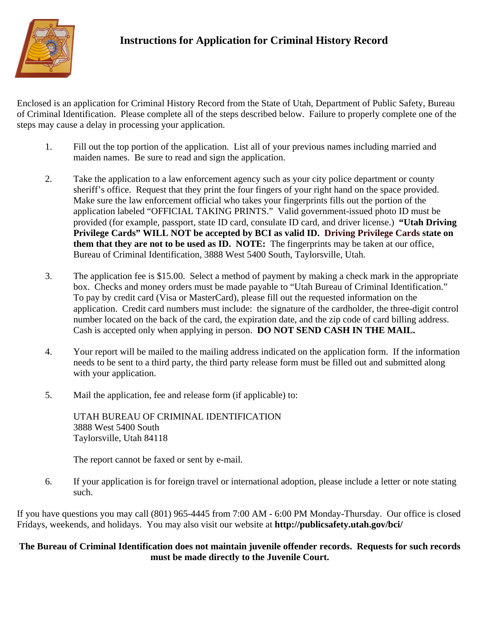

## **Instructions for Application for Criminal History Record**

Enclosed is an application for Criminal History Record from the State of Utah, Department of Public Safety, Bureau of Criminal Identification. Please complete all of the steps described below. Failure to properly complete one of the steps may cause a delay in processing your application.

- 1. Fill out the top portion of the application. List all of your previous names including married and maiden names. Be sure to read and sign the application.
- 2. Take the application to a law enforcement agency such as your city police department or county sheriff's office. Request that they print the four fingers of your right hand on the space provided. Make sure the law enforcement official who takes your fingerprints fills out the portion of the application labeled "OFFICIAL TAKING PRINTS." Valid government-issued photo ID must be provided (for example, passport, state ID card, consulate ID card, and driver license.) **"Utah Driving Privilege Cards" WILL NOT be accepted by BCI as valid ID. Driving Privilege Cards state on them that they are not to be used as ID. NOTE:** The fingerprints may be taken at our office, Bureau of Criminal Identification, 3888 West 5400 South, Taylorsville, Utah.
- 3. The application fee is \$15.00. Select a method of payment by making a check mark in the appropriate box. Checks and money orders must be made payable to "Utah Bureau of Criminal Identification." To pay by credit card (Visa or MasterCard), please fill out the requested information on the application. Credit card numbers must include: the signature of the cardholder, the three-digit control number located on the back of the card, the expiration date, and the zip code of card billing address. Cash is accepted only when applying in person. **DO NOT SEND CASH IN THE MAIL.**
- 4. Your report will be mailed to the mailing address indicated on the application form. If the information needs to be sent to a third party, the third party release form must be filled out and submitted along with your application.
- 5. Mail the application, fee and release form (if applicable) to:

UTAH BUREAU OF CRIMINAL IDENTIFICATION 3888 West 5400 South Taylorsville, Utah 84118

The report cannot be faxed or sent by e-mail.

6. If your application is for foreign travel or international adoption, please include a letter or note stating such.

If you have questions you may call (801) 965-4445 from 7:00 AM - 6:00 PM Monday-Thursday. Our office is closed Fridays, weekends, and holidays. You may also visit our website at **http://publicsafety.utah.gov/bci/**

## **The Bureau of Criminal Identification does not maintain juvenile offender records. Requests for such records must be made directly to the Juvenile Court.**